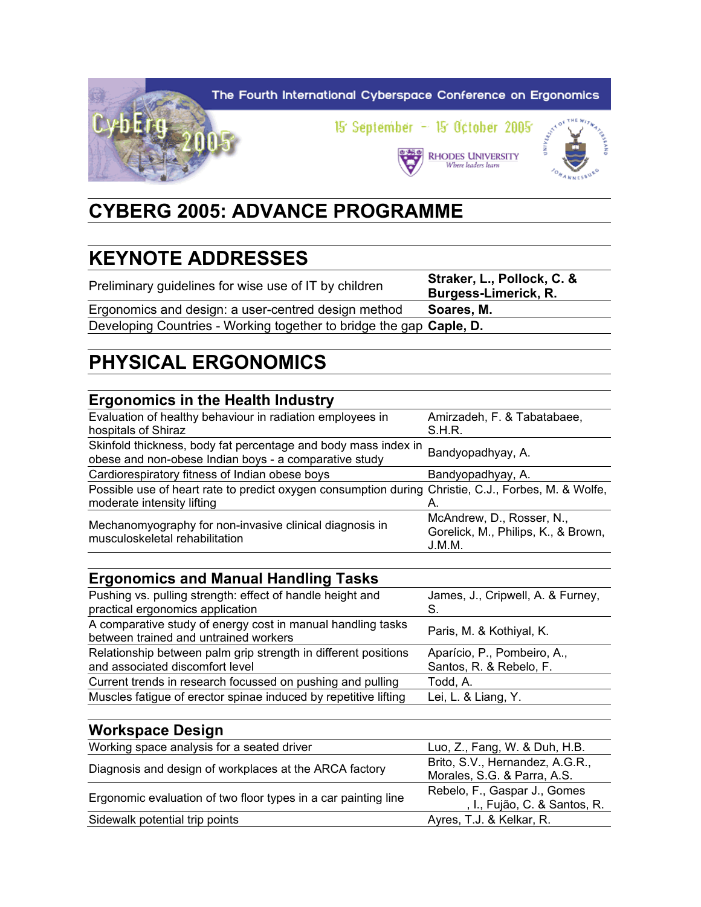

# **CYBERG 2005: ADVANCE PROGRAMME**

### **KEYNOTE ADDRESSES**

Preliminary guidelines for wise use of IT by children **Straker, L., Pollock, C. &** 

**Burgess-Limerick, R.** 

Ergonomics and design: a user-centred design method **Soares, M.**  Developing Countries - Working together to bridge the gap **Caple, D.** 

### **PHYSICAL ERGONOMICS**

#### **Ergonomics in the Health Industry**

| Evaluation of healthy behaviour in radiation employees in<br>hospitals of Shiraz                                                  | Amirzadeh, F. & Tabatabaee,<br>S.H.R.                                      |
|-----------------------------------------------------------------------------------------------------------------------------------|----------------------------------------------------------------------------|
| Skinfold thickness, body fat percentage and body mass index in<br>obese and non-obese Indian boys - a comparative study           | Bandyopadhyay, A.                                                          |
| Cardiorespiratory fitness of Indian obese boys                                                                                    | Bandyopadhyay, A.                                                          |
| Possible use of heart rate to predict oxygen consumption during Christie, C.J., Forbes, M. & Wolfe,<br>moderate intensity lifting | А.                                                                         |
| Mechanomyography for non-invasive clinical diagnosis in<br>musculoskeletal rehabilitation                                         | McAndrew, D., Rosser, N.,<br>Gorelick, M., Philips, K., & Brown,<br>J.M.M. |

#### **Ergonomics and Manual Handling Tasks**

| Pushing vs. pulling strength: effect of handle height and<br>practical ergonomics application        | James, J., Cripwell, A. & Furney,                      |
|------------------------------------------------------------------------------------------------------|--------------------------------------------------------|
| A comparative study of energy cost in manual handling tasks<br>between trained and untrained workers | Paris, M. & Kothiyal, K.                               |
| Relationship between palm grip strength in different positions<br>and associated discomfort level    | Aparício, P., Pombeiro, A.,<br>Santos, R. & Rebelo, F. |
| Current trends in research focussed on pushing and pulling                                           | Todd, A.                                               |
| Muscles fatigue of erector spinae induced by repetitive lifting                                      | Lei, L. & Liang, Y.                                    |

#### **Workspace Design**

| Working space analysis for a seated driver                     | Luo, Z., Fang, W. & Duh, H.B.   |
|----------------------------------------------------------------|---------------------------------|
| Diagnosis and design of workplaces at the ARCA factory         | Brito, S.V., Hernandez, A.G.R., |
|                                                                | Morales, S.G. & Parra, A.S.     |
| Ergonomic evaluation of two floor types in a car painting line | Rebelo, F., Gaspar J., Gomes    |
|                                                                | , I., Fujão, C. & Santos, R.    |
| Sidewalk potential trip points                                 | Ayres, T.J. & Kelkar, R.        |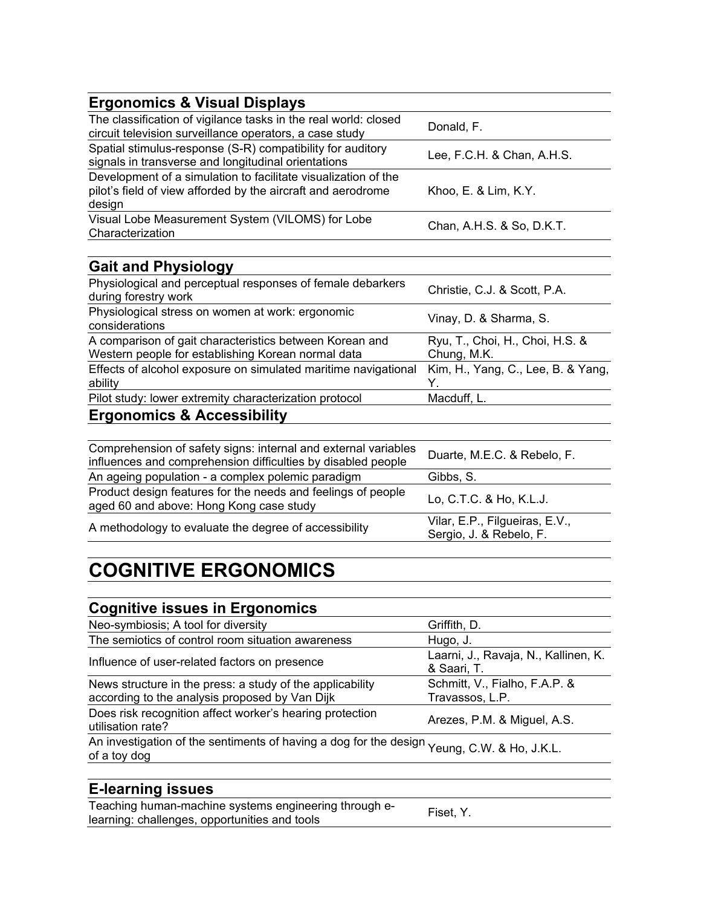| <b>Ergonomics &amp; Visual Displays</b>                                                                                                  |                            |
|------------------------------------------------------------------------------------------------------------------------------------------|----------------------------|
| The classification of vigilance tasks in the real world: closed<br>circuit television surveillance operators, a case study               | Donald, F.                 |
| Spatial stimulus-response (S-R) compatibility for auditory<br>signals in transverse and longitudinal orientations                        | Lee, F.C.H. & Chan, A.H.S. |
| Development of a simulation to facilitate visualization of the<br>pilot's field of view afforded by the aircraft and aerodrome<br>design | Khoo, E. & Lim, K.Y.       |
| Visual Lobe Measurement System (VILOMS) for Lobe<br>Characterization                                                                     | Chan, A.H.S. & So, D.K.T.  |
|                                                                                                                                          |                            |
| <b>Gait and Physiology</b>                                                                                                               |                            |
| mi stal stoli sala sa sa sa kalendar sa sa sa katika la kata sa sa                                                                       |                            |

| Physiological and perceptual responses of female debarkers<br>during forestry work                            | Christie, C.J. & Scott, P.A.                   |
|---------------------------------------------------------------------------------------------------------------|------------------------------------------------|
| Physiological stress on women at work: ergonomic<br>considerations                                            | Vinay, D. & Sharma, S.                         |
| A comparison of gait characteristics between Korean and<br>Western people for establishing Korean normal data | Ryu, T., Choi, H., Choi, H.S. &<br>Chung, M.K. |
| Effects of alcohol exposure on simulated maritime navigational<br>ability                                     | Kim, H., Yang, C., Lee, B. & Yang,             |
| Pilot study: lower extremity characterization protocol                                                        | Macduff, L.                                    |
| <b>Ergonomics &amp; Accessibility</b>                                                                         |                                                |

| Comprehension of safety signs: internal and external variables<br>influences and comprehension difficulties by disabled people | Duarte, M.E.C. & Rebelo, F.                               |
|--------------------------------------------------------------------------------------------------------------------------------|-----------------------------------------------------------|
| An ageing population - a complex polemic paradigm                                                                              | Gibbs, S.                                                 |
| Product design features for the needs and feelings of people<br>aged 60 and above: Hong Kong case study                        | Lo, C.T.C. & Ho, K.L.J.                                   |
| A methodology to evaluate the degree of accessibility                                                                          | Vilar, E.P., Filgueiras, E.V.,<br>Sergio, J. & Rebelo, F. |

### **COGNITIVE ERGONOMICS**

#### **Cognitive issues in Ergonomics**  Neo-symbiosis; A tool for diversity Griffith, D. The semiotics of control room situation awareness Hugo, J. Influence of user-related factors on presence<br>
a Coording Processing T & Saari, T. News structure in the press: a study of the applicability according to the analysis proposed by Van Dijk Schmitt, V., Fialho, F.A.P. & Travassos, L.P. Does risk recognition affect worker's hearing protection Boes has recognition affect worker's riearing protection exercise. P.M. & Miguel, A.S. utilisation rate? An investigation of the sentiments of having a dog for the design <sub>Yeung,</sub> C.W. & Ho, J.K.L.<br>of a toy dog

### **E-learning issues**

Teaching human-machine systems engineering through ereaching numan-machine systems engineering unough e-<br>learning: challenges, opportunities and tools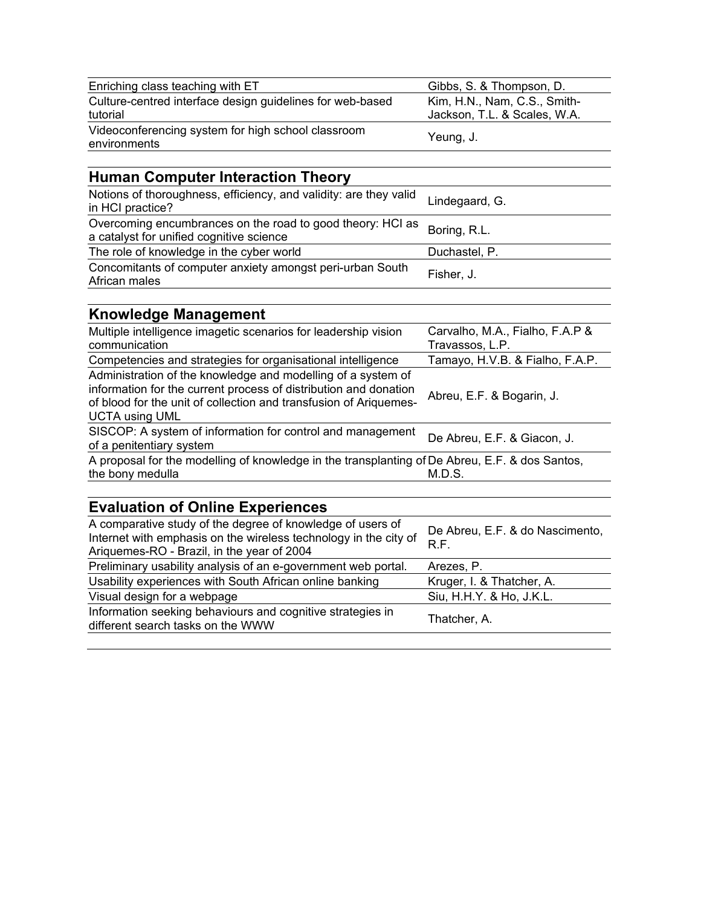| Enriching class teaching with ET                                      | Gibbs, S. & Thompson, D.                                     |
|-----------------------------------------------------------------------|--------------------------------------------------------------|
| Culture-centred interface design guidelines for web-based<br>tutorial | Kim, H.N., Nam, C.S., Smith-<br>Jackson, T.L. & Scales, W.A. |
| Videoconferencing system for high school classroom<br>environments    | Yeung, J.                                                    |

#### **Human Computer Interaction Theory**

| <u>HAMAN YOMIYALGI MILGI AGLION TIIGOI Y</u>                                                           |                |
|--------------------------------------------------------------------------------------------------------|----------------|
| Notions of thoroughness, efficiency, and validity: are they valid<br>in HCI practice?                  | Lindegaard, G. |
| Overcoming encumbrances on the road to good theory: HCI as<br>a catalyst for unified cognitive science | Boring, R.L.   |
| The role of knowledge in the cyber world                                                               | Duchastel, P.  |
| Concomitants of computer anxiety amongst peri-urban South<br>African males                             | Fisher, J.     |
|                                                                                                        |                |

#### **Knowledge Management**

| Multiple intelligence imagetic scenarios for leadership vision<br>communication                                                                                                                                                | Carvalho, M.A., Fialho, F.A.P &<br>Travassos, L.P. |
|--------------------------------------------------------------------------------------------------------------------------------------------------------------------------------------------------------------------------------|----------------------------------------------------|
| Competencies and strategies for organisational intelligence                                                                                                                                                                    | Tamayo, H.V.B. & Fialho, F.A.P.                    |
| Administration of the knowledge and modelling of a system of<br>information for the current process of distribution and donation<br>of blood for the unit of collection and transfusion of Ariquemes-<br><b>UCTA using UML</b> | Abreu, E.F. & Bogarin, J.                          |
| SISCOP: A system of information for control and management<br>of a penitentiary system                                                                                                                                         | De Abreu, E.F. & Giacon, J.                        |
| A proposal for the modelling of knowledge in the transplanting of De Abreu, E.F. & dos Santos,<br>the bony medulla                                                                                                             | M.D.S.                                             |
|                                                                                                                                                                                                                                |                                                    |

| <b>Evaluation of Online Experiences</b>                                                                                                                                      |                                         |
|------------------------------------------------------------------------------------------------------------------------------------------------------------------------------|-----------------------------------------|
| A comparative study of the degree of knowledge of users of<br>Internet with emphasis on the wireless technology in the city of<br>Ariquemes-RO - Brazil, in the year of 2004 | De Abreu, E.F. & do Nascimento,<br>R.F. |
| Preliminary usability analysis of an e-government web portal.                                                                                                                | Arezes, P.                              |
| Usability experiences with South African online banking                                                                                                                      | Kruger, I. & Thatcher, A.               |
| Visual design for a webpage                                                                                                                                                  | Siu, H.H.Y. & Ho, J.K.L.                |
| Information seeking behaviours and cognitive strategies in<br>different search tasks on the WWW                                                                              | Thatcher, A.                            |
|                                                                                                                                                                              |                                         |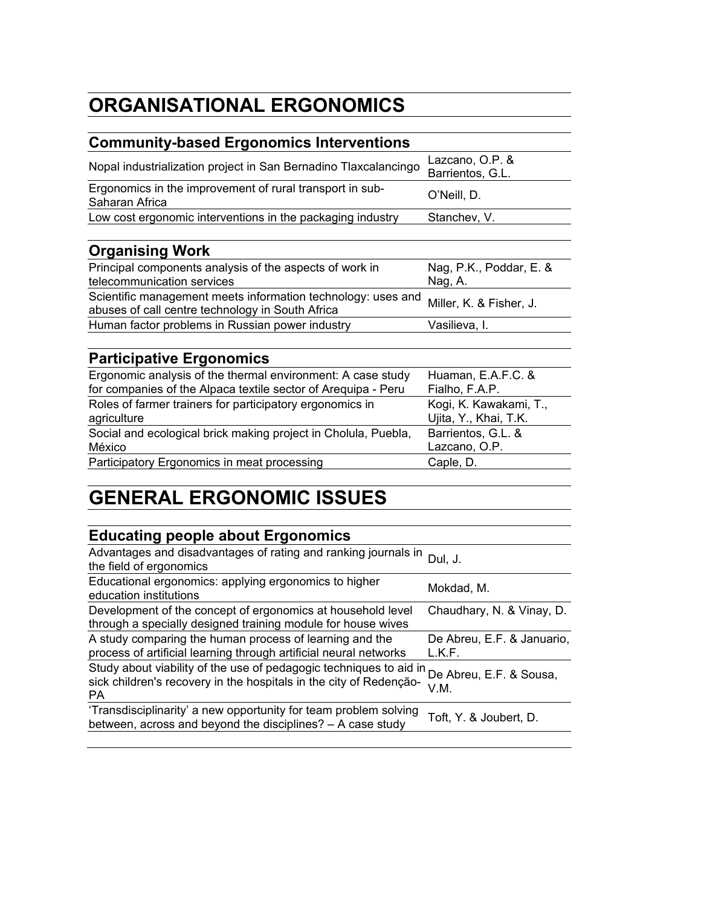# **ORGANISATIONAL ERGONOMICS**

| <b>Community-based Ergonomics Interventions</b>                                                                              |                                                 |
|------------------------------------------------------------------------------------------------------------------------------|-------------------------------------------------|
| Nopal industrialization project in San Bernadino Tlaxcalancingo                                                              | Lazcano, O.P. &<br>Barrientos, G.L.             |
| Ergonomics in the improvement of rural transport in sub-<br>Saharan Africa                                                   | O'Neill, D.                                     |
| Low cost ergonomic interventions in the packaging industry                                                                   | Stanchev, V.                                    |
|                                                                                                                              |                                                 |
| <b>Organising Work</b>                                                                                                       |                                                 |
| Principal components analysis of the aspects of work in<br>telecommunication services                                        | Nag, P.K., Poddar, E. &<br>Nag, A.              |
| Scientific management meets information technology: uses and<br>abuses of call centre technology in South Africa             | Miller, K. & Fisher, J.                         |
| Human factor problems in Russian power industry                                                                              | Vasilieva, I.                                   |
|                                                                                                                              |                                                 |
| <b>Participative Ergonomics</b>                                                                                              |                                                 |
| Ergonomic analysis of the thermal environment: A case study<br>for companies of the Alpaca textile sector of Arequipa - Peru | Huaman, E.A.F.C. &<br>Fialho, F.A.P.            |
| Roles of farmer trainers for participatory ergonomics in<br>agriculture                                                      | Kogi, K. Kawakami, T.,<br>Ujita, Y., Khai, T.K. |
| Social and ecological brick making project in Cholula, Puebla,<br>México                                                     | Barrientos, G.L. &<br>Lazcano, O.P.             |
| Participatory Ergonomics in meat processing                                                                                  | Caple, D.                                       |
|                                                                                                                              |                                                 |

## **GENERAL ERGONOMIC ISSUES**

### **Educating people about Ergonomics**

| Advantages and disadvantages of rating and ranking journals in<br>the field of ergonomics                                                       | Dul, J.                              |
|-------------------------------------------------------------------------------------------------------------------------------------------------|--------------------------------------|
| Educational ergonomics: applying ergonomics to higher<br>education institutions                                                                 | Mokdad, M.                           |
| Development of the concept of ergonomics at household level<br>through a specially designed training module for house wives                     | Chaudhary, N. & Vinay, D.            |
| A study comparing the human process of learning and the<br>process of artificial learning through artificial neural networks                    | De Abreu, E.F. & Januario,<br>L.K.F. |
| Study about viability of the use of pedagogic techniques to aid in<br>sick children's recovery in the hospitals in the city of Redenção-<br>PA. | De Abreu, E.F. & Sousa,<br>V.M.      |
| 'Transdisciplinarity' a new opportunity for team problem solving<br>between, across and beyond the disciplines? - A case study                  | Toft, Y. & Joubert, D.               |
|                                                                                                                                                 |                                      |